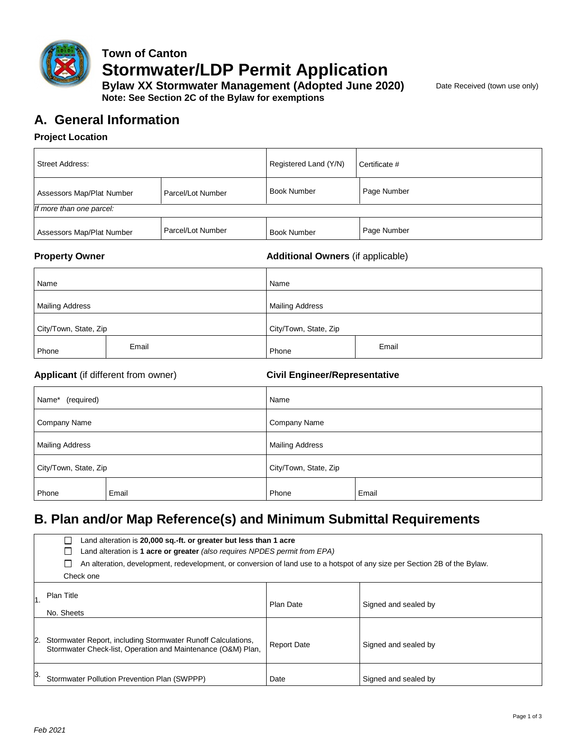

# **Town of Canton Stormwater/LDP Permit Application**

**Bylaw XX Stormwater Management (Adopted June 2020)** Date Received (town use only) **Note: See Section 2C of the Bylaw for exemptions**

# **A. General Information**

#### **Project Location**

| <b>Street Address:</b>    |                   | Registered Land (Y/N) | Certificate # |  |
|---------------------------|-------------------|-----------------------|---------------|--|
| Assessors Map/Plat Number | Parcel/Lot Number | <b>Book Number</b>    | Page Number   |  |
| If more than one parcel:  |                   |                       |               |  |
| Assessors Map/Plat Number | Parcel/Lot Number | <b>Book Number</b>    | Page Number   |  |

**Property Owner Additional Owners** (if applicable)

| Name                   |       | Name                   |       |
|------------------------|-------|------------------------|-------|
| <b>Mailing Address</b> |       | <b>Mailing Address</b> |       |
| City/Town, State, Zip  |       | City/Town, State, Zip  |       |
| Phone                  | Email | Phone                  | Email |

#### **Applicant** (if different from owner) **Civil Engineer/Representative**

| Name*<br>(required)    |       | Name                   |       |
|------------------------|-------|------------------------|-------|
| Company Name           |       | Company Name           |       |
| <b>Mailing Address</b> |       | <b>Mailing Address</b> |       |
| City/Town, State, Zip  |       | City/Town, State, Zip  |       |
| Phone                  | Email | Phone                  | Email |

# **B. Plan and/or Map Reference(s) and Minimum Submittal Requirements**

| Land alteration is 20,000 sq.-ft. or greater but less than 1 acre<br>Land alteration is 1 acre or greater (also requires NPDES permit from EPA) |                    |                      |  |
|-------------------------------------------------------------------------------------------------------------------------------------------------|--------------------|----------------------|--|
| An alteration, development, redevelopment, or conversion of land use to a hotspot of any size per Section 2B of the Bylaw.                      |                    |                      |  |
| Check one                                                                                                                                       |                    |                      |  |
| Plan Title<br>No. Sheets                                                                                                                        | Plan Date          | Signed and sealed by |  |
| 2. Stormwater Report, including Stormwater Runoff Calculations,<br>Stormwater Check-list, Operation and Maintenance (O&M) Plan,                 | <b>Report Date</b> | Signed and sealed by |  |
| Stormwater Pollution Prevention Plan (SWPPP)                                                                                                    | Date               | Signed and sealed by |  |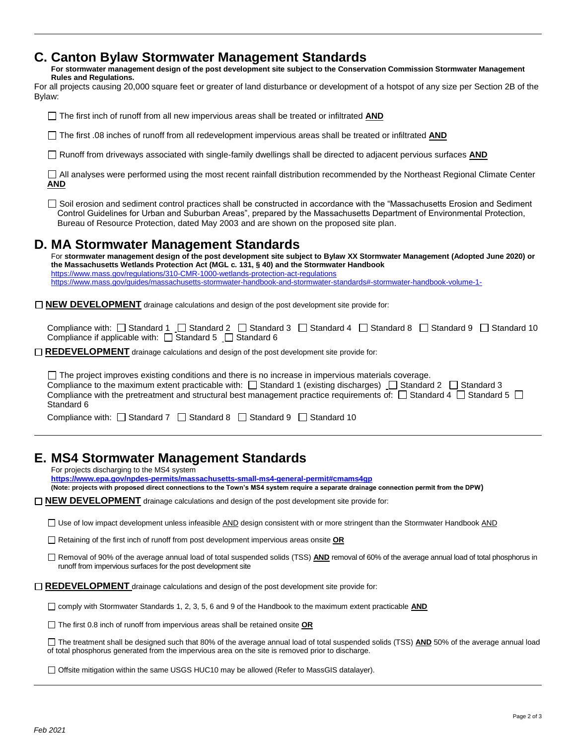## **C. Canton Bylaw Stormwater Management Standards**

**For stormwater management design of the post development site subject to the Conservation Commission Stormwater Management Rules and Regulations.**

| For all projects causing 20,000 square feet or greater of land disturbance or development of a hotspot of any size per Section 2B of the |  |  |  |
|------------------------------------------------------------------------------------------------------------------------------------------|--|--|--|
| Bylaw:                                                                                                                                   |  |  |  |

The first inch of runoff from all new impervious areas shall be treated or infiltrated **AND**

□ The first .08 inches of runoff from all redevelopment impervious areas shall be treated or infiltrated **AND** 

Runoff from driveways associated with single-family dwellings shall be directed to adjacent pervious surfaces **AND**

All analyses were performed using the most recent rainfall distribution recommended by the Northeast Regional Climate Center **AND**

 $\Box$  Soil erosion and sediment control practices shall be constructed in accordance with the "Massachusetts Erosion and Sediment Control Guidelines for Urban and Suburban Areas", prepared by the Massachusetts Department of Environmental Protection, Bureau of Resource Protection, dated May 2003 and are shown on the proposed site plan.

### **D. MA Stormwater Management Standards**

For **stormwater management design of the post development site subject to Bylaw XX Stormwater Management (Adopted June 2020) or the Massachusetts Wetlands Protection Act (MGL c. 131, § 40) and the Stormwater Handbook** <https://www.mass.gov/regulations/310-CMR-1000-wetlands-protection-act-regulations> <https://www.mass.gov/guides/massachusetts-stormwater-handbook-and-stormwater-standards#-stormwater-handbook-volume-1->

□ **NEW DEVELOPMENT** drainage calculations and design of the post development site provide for:

Compliance with:  $\Box$  Standard 1  $\Box$  Standard 2  $\Box$  Standard 3  $\Box$  Standard 4  $\Box$  Standard 8  $\Box$  Standard 9  $\Box$  Standard 10 Compliance if applicable with:  $\Box$  Standard 5  $\Box$  Standard 6

□ REDEVELOPMENT drainage calculations and design of the post development site provide for:

 $\Box$  The project improves existing conditions and there is no increase in impervious materials coverage. Compliance to the maximum extent practicable with:  $\Box$  Standard 1 (existing discharges)  $\Box$  Standard 2  $\Box$  Standard 3 Compliance with the pretreatment and structural best management practice requirements of:  $\Box$  Standard 4  $\Box$  Standard 5  $\Box$ Standard 6

Compliance with:  $\Box$  Standard 7  $\Box$  Standard 8  $\Box$  Standard 9  $\Box$  Standard 10

## **E. MS4 Stormwater Management Standards**

For projects discharging to the MS4 system

**<https://www.epa.gov/npdes-permits/massachusetts-small-ms4-general-permit#cmams4gp>**

**(Note: projects with proposed direct connections to the Town's MS4 system require a separate drainage connection permit from the DPW)**

□ **NEW DEVELOPMENT** drainage calculations and design of the post development site provide for:

 $\square$  Use of low impact development unless infeasible  $\triangle NDE$  design consistent with or more stringent than the Stormwater Handbook  $\triangle NDE$ 

Retaining of the first inch of runoff from post development impervious areas onsite **OR**

□ Removal of 90% of the average annual load of total suspended solids (TSS) **AND** removal of 60% of the average annual load of total phosphorus in runoff from impervious surfaces for the post development site

 $□$  **REDEVELOPMENT** drainage calculations and design of the post development site provide for:

comply with Stormwater Standards 1, 2, 3, 5, 6 and 9 of the Handbook to the maximum extent practicable **AND**

The first 0.8 inch of runoff from impervious areas shall be retained onsite **OR**

□ The treatment shall be designed such that 80% of the average annual load of total suspended solids (TSS) **AND** 50% of the average annual load of total phosphorus generated from the impervious area on the site is removed prior to discharge.

□ Offsite mitigation within the same USGS HUC10 may be allowed (Refer to MassGIS datalayer).